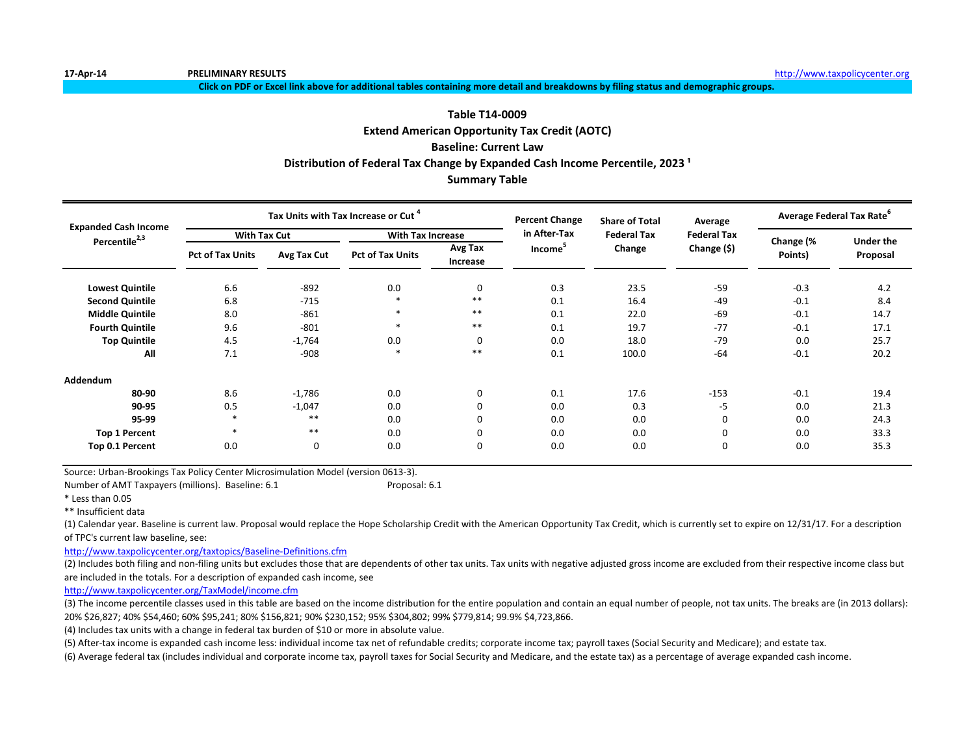**Click on PDF or Excel link above for additional tables containing more detail and breakdowns by filing status and demographic groups.**

# **Extend American Opportunity Tax Credit (AOTC) Baseline: Current Law Summary Table Table T14-0009** Distribution of Federal Tax Change by Expanded Cash Income Percentile, 2023<sup>1</sup>

| <b>Expanded Cash Income</b> |                         |             | Tax Units with Tax Increase or Cut |                     | <b>Percent Change</b> | <b>Share of Total</b> | Average            | Average Federal Tax Rate <sup>6</sup> |           |
|-----------------------------|-------------------------|-------------|------------------------------------|---------------------|-----------------------|-----------------------|--------------------|---------------------------------------|-----------|
| Percentile <sup>2,3</sup>   | <b>With Tax Cut</b>     |             | <b>With Tax Increase</b>           |                     | in After-Tax          | <b>Federal Tax</b>    | <b>Federal Tax</b> | Change (%                             | Under the |
|                             | <b>Pct of Tax Units</b> | Avg Tax Cut | <b>Pct of Tax Units</b>            | Avg Tax<br>Increase | Income <sup>-</sup>   | Change                | Change (\$)        | Points)                               | Proposal  |
| <b>Lowest Quintile</b>      | 6.6                     | $-892$      | 0.0                                | $\mathbf 0$         | 0.3                   | 23.5                  | $-59$              | $-0.3$                                | 4.2       |
| <b>Second Quintile</b>      | 6.8                     | $-715$      | $\ast$                             | $***$               | 0.1                   | 16.4                  | $-49$              | $-0.1$                                | 8.4       |
| <b>Middle Quintile</b>      | 8.0                     | $-861$      | ∗                                  | $***$               | 0.1                   | 22.0                  | $-69$              | $-0.1$                                | 14.7      |
| <b>Fourth Quintile</b>      | 9.6                     | $-801$      | $\ast$                             | $***$               | 0.1                   | 19.7                  | $-77$              | $-0.1$                                | 17.1      |
| <b>Top Quintile</b>         | 4.5                     | $-1,764$    | 0.0                                | $\Omega$            | 0.0                   | 18.0                  | $-79$              | 0.0                                   | 25.7      |
| All                         | 7.1                     | $-908$      | $\ast$                             | $***$               | 0.1                   | 100.0                 | $-64$              | $-0.1$                                | 20.2      |
| Addendum                    |                         |             |                                    |                     |                       |                       |                    |                                       |           |
| 80-90                       | 8.6                     | $-1,786$    | 0.0                                | $\mathbf 0$         | 0.1                   | 17.6                  | $-153$             | $-0.1$                                | 19.4      |
| 90-95                       | 0.5                     | $-1,047$    | 0.0                                |                     | 0.0                   | 0.3                   | -5                 | 0.0                                   | 21.3      |
| 95-99                       | $\ast$                  | $***$       | 0.0                                |                     | 0.0                   | 0.0                   | 0                  | 0.0                                   | 24.3      |
| <b>Top 1 Percent</b>        | $\ast$                  | $***$       | 0.0                                |                     | 0.0                   | 0.0                   | 0                  | 0.0                                   | 33.3      |
| Top 0.1 Percent             | 0.0                     | 0           | 0.0                                | $\Omega$            | 0.0                   | 0.0                   | 0                  | 0.0                                   | 35.3      |

Source: Urban-Brookings Tax Policy Center Microsimulation Model (version 0613-3).

Number of AMT Taxpayers (millions). Baseline: 6.1 Proposal: 6.1

\* Less than 0.05

\*\* Insufficient data

(1) Calendar year. Baseline is current law. Proposal would replace the Hope Scholarship Credit with the American Opportunity Tax Credit, which is currently set to expire on 12/31/17. For a description of TPC's current law baseline, see:

<http://www.taxpolicycenter.org/taxtopics/Baseline-Definitions.cfm>

(2) Includes both filing and non-filing units but excludes those that are dependents of other tax units. Tax units with negative adjusted gross income are excluded from their respective income class but are included in the totals. For a description of expanded cash income, see

[http://www.taxpolicycente](http://www.taxpolicycenter.org/TaxModel/income.cfm)r.org/TaxModel/income.cfm

(3) The income percentile classes used in this table are based on the income distribution for the entire population and contain an equal number of people, not tax units. The breaks are (in 2013 dollars): 20% \$26,827; 40% \$54,460; 60% \$95,241; 80% \$156,821; 90% \$230,152; 95% \$304,802; 99% \$779,814; 99.9% \$4,723,866.

(4) Includes tax units with a change in federal tax burden of \$10 or more in absolute value.

(5) After-tax income is expanded cash income less: individual income tax net of refundable credits; corporate income tax; payroll taxes (Social Security and Medicare); and estate tax.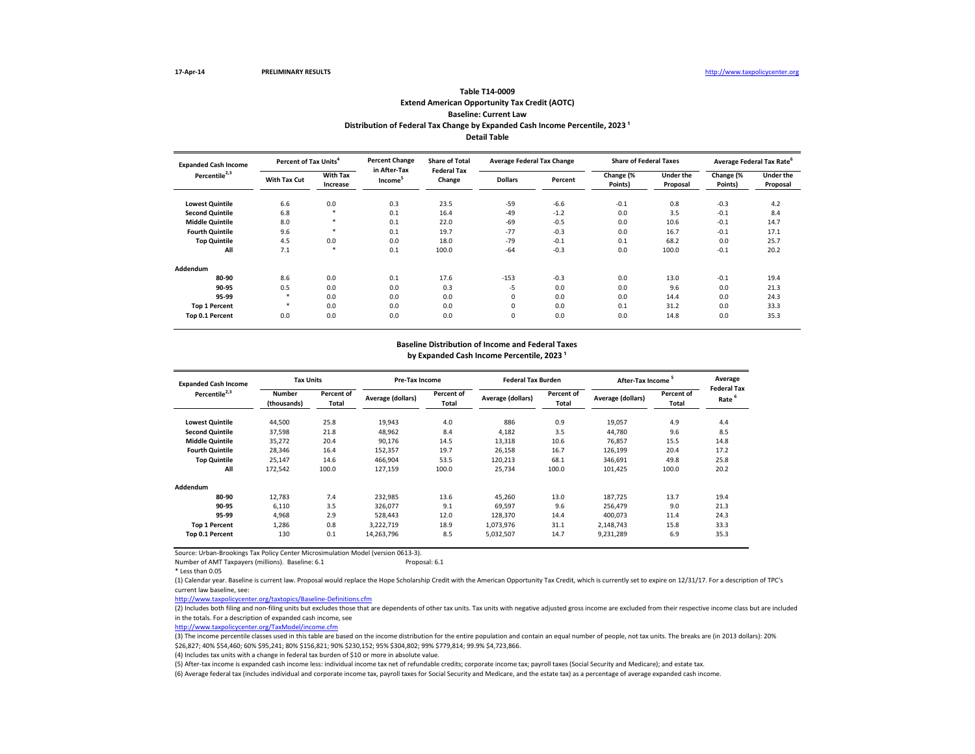# **Extend American Opportunity Tax Credit (AOTC) Baseline: Current Law Table T14-0009 Distribution of Federal Tax Change by Expanded Cash Income Percentile, 2023<sup>1</sup> Detail Table**

| <b>Expanded Cash Income</b> | Percent of Tax Units <sup>4</sup> |                             | <b>Percent Change</b>               | <b>Share of Total</b>        | <b>Average Federal Tax Change</b> |         | <b>Share of Federal Taxes</b> |                              | Average Federal Tax Rate <sup>6</sup> |                              |
|-----------------------------|-----------------------------------|-----------------------------|-------------------------------------|------------------------------|-----------------------------------|---------|-------------------------------|------------------------------|---------------------------------------|------------------------------|
| Percentile <sup>2,3</sup>   | <b>With Tax Cut</b>               | <b>With Tax</b><br>Increase | in After-Tax<br>Income <sup>3</sup> | <b>Federal Tax</b><br>Change | <b>Dollars</b>                    | Percent | Change (%<br>Points)          | <b>Under the</b><br>Proposal | Change (%<br>Points)                  | <b>Under the</b><br>Proposal |
| <b>Lowest Quintile</b>      | 6.6                               | 0.0                         | 0.3                                 | 23.5                         | $-59$                             | $-6.6$  | $-0.1$                        | 0.8                          | $-0.3$                                | 4.2                          |
| <b>Second Quintile</b>      | 6.8                               | *                           | 0.1                                 | 16.4                         | $-49$                             | $-1.2$  | 0.0                           | 3.5                          | $-0.1$                                | 8.4                          |
| <b>Middle Quintile</b>      | 8.0                               |                             | 0.1                                 | 22.0                         | $-69$                             | $-0.5$  | 0.0                           | 10.6                         | $-0.1$                                | 14.7                         |
| <b>Fourth Quintile</b>      | 9.6                               |                             | 0.1                                 | 19.7                         | $-77$                             | $-0.3$  | 0.0                           | 16.7                         | $-0.1$                                | 17.1                         |
| <b>Top Quintile</b>         | 4.5                               | 0.0                         | 0.0                                 | 18.0                         | $-79$                             | $-0.1$  | 0.1                           | 68.2                         | 0.0                                   | 25.7                         |
| All                         | 7.1                               | *                           | 0.1                                 | 100.0                        | $-64$                             | $-0.3$  | 0.0                           | 100.0                        | $-0.1$                                | 20.2                         |
| Addendum                    |                                   |                             |                                     |                              |                                   |         |                               |                              |                                       |                              |
| 80-90                       | 8.6                               | 0.0                         | 0.1                                 | 17.6                         | $-153$                            | $-0.3$  | 0.0                           | 13.0                         | $-0.1$                                | 19.4                         |
| 90-95                       | 0.5                               | 0.0                         | 0.0                                 | 0.3                          | -5                                | 0.0     | 0.0                           | 9.6                          | 0.0                                   | 21.3                         |
| 95-99                       |                                   | 0.0                         | 0.0                                 | 0.0                          | 0                                 | 0.0     | 0.0                           | 14.4                         | 0.0                                   | 24.3                         |
| <b>Top 1 Percent</b>        |                                   | 0.0                         | 0.0                                 | 0.0                          | $\mathbf 0$                       | 0.0     | 0.1                           | 31.2                         | 0.0                                   | 33.3                         |
| Top 0.1 Percent             | 0.0                               | 0.0                         | 0.0                                 | 0.0                          | $\mathbf 0$                       | 0.0     | 0.0                           | 14.8                         | 0.0                                   | 35.3                         |

### **Baseline Distribution of Income and Federal Taxes**

**Lowest Quintile** 44,500 25.8 19,943 4.0 886 0.9 19,057 4.9 4.4 **Second Quintile** 37,598 21.8 48,962 8.4 4,182 3.5 44,780 9.6 8.5 **Middle Quintile** 35,272 20.4 90,176 14.5 13,318 10.6 76,857 15.5 14.8 **Fourth Quintile** 28,346 16.4 152,357 19.7 26,158 16.7 126,199 20.4 17.2 **Top Quintile** 25,147 14.6 466,904 53.5 120,213 68.1 346,691 49.8 25.8 **All** 172,542 100.0 127,159 100.0 25,734 100.0 101,425 100.0 20.2 **Addendum 80-90** 12,783 7.4 232,985 13.6 45,260 13.0 187,725 13.7 19.4 **90-95** 6,110 3.5 326,077 9.1 69,597 9.6 256,479 9.0 21.3 **95-99** 4,968 2.9 528,443 12.0 128,370 14.4 400,073 11.4 24.3 **Top 1 Percent** 1,286 0.8 3,222,719 18.9 1,073,976 31.1 2,148,743 15.8 33.3 **Top 0.1 Percent** 130 0.1 14,263,796 8.5 5,032,507 14.7 9,231,289 6.9 35.3 **Expanded Cash Income Percentile2,3 Tax Units Pre-Tax Income Federal Tax Burden After-Tax Income <sup>5</sup> Average Federal Tax Rate**  Number Percent of Descent of Percent of Descent of Descent of Descent of Descent of Descent Descent Descent Descen<br>هم<del>ا</del>م المواقع المواقع المواقع المواقع المواقع المواقع المواقع المواقع المواقع المواقع المواقع المواقع الم **(thousands) Percent of Total Average (dollars) Percent of Total Average (dollars) Percent of Total Average (dollars) Percent of Total**

by Expanded Cash Income Percentile, 2023<sup>1</sup>

Source: Urban-Brookings Tax Policy Center Microsimulation Model (version 0613-3).

Number of AMT Taxpayers (millions). Baseline: 6.1 Proposal: 6.1

\* Less than 0.05

(1) Calendar year. Baseline is current law. Proposal would replace the Hope Scholarship Credit with the American Opportunity Tax Credit, which is currently set to expire on 12/31/17. For a description of TPC's current law baseline, see:

<http://www.taxpolicycenter.org/taxtopics/Baseline-Definitions.cfm>

(2) Includes both filing and non-filing units but excludes those that are dependents of other tax units. Tax units with negative adjusted gross income are excluded from their respective income class but are included in the totals. For a description of expanded cash income, see

[http://www.taxpolicycente](http://www.taxpolicycenter.org/TaxModel/income.cfm)r.org/TaxModel/income.cfm

(3) The income percentile classes used in this table are based on the income distribution for the entire population and contain an equal number of people, not tax units. The breaks are (in 2013 dollars): 20% \$26,827; 40% \$54,460; 60% \$95,241; 80% \$156,821; 90% \$230,152; 95% \$304,802; 99% \$779,814; 99.9% \$4,723,866.

(4) Includes tax units with a change in federal tax burden of \$10 or more in absolute value.

(5) After-tax income is expanded cash income less: individual income tax net of refundable credits; corporate income tax; payroll taxes (Social Security and Medicare); and estate tax.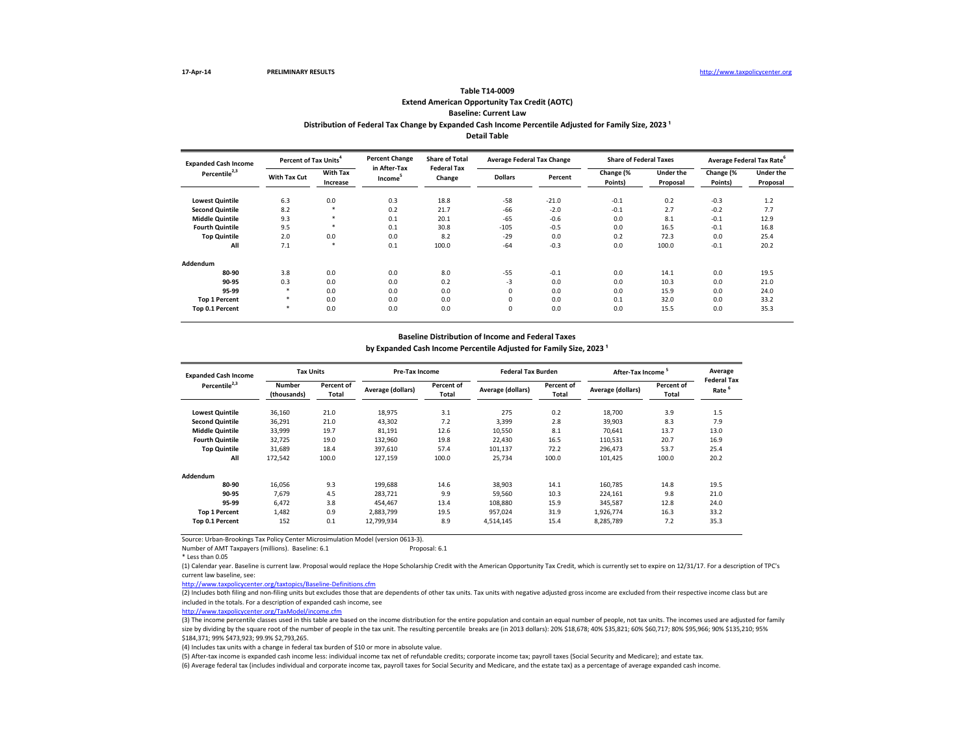### **Extend American Opportunity Tax Credit (AOTC) Baseline: Current Law Table T14-0009** Distribution of Federal Tax Change by Expanded Cash Income Percentile Adjusted for Family Size, 2023<sup>1</sup> **Detail Table**

| <b>Expanded Cash Income</b> | Percent of Tax Units <sup>4</sup> |                             | <b>Percent Change</b>               | <b>Share of Total</b><br><b>Federal Tax</b> | <b>Average Federal Tax Change</b> |         | <b>Share of Federal Taxes</b> |                              | Average Federal Tax Rate |                              |
|-----------------------------|-----------------------------------|-----------------------------|-------------------------------------|---------------------------------------------|-----------------------------------|---------|-------------------------------|------------------------------|--------------------------|------------------------------|
| Percentile <sup>2,3</sup>   | With Tax Cut                      | <b>With Tax</b><br>Increase | in After-Tax<br>Income <sup>3</sup> | Change                                      | <b>Dollars</b>                    | Percent | Change (%<br>Points)          | <b>Under the</b><br>Proposal | Change (%<br>Points)     | <b>Under the</b><br>Proposal |
| <b>Lowest Quintile</b>      | 6.3                               | 0.0                         | 0.3                                 | 18.8                                        | $-58$                             | $-21.0$ | $-0.1$                        | 0.2                          | $-0.3$                   | 1.2                          |
| <b>Second Quintile</b>      | 8.2                               | $\star$                     | 0.2                                 | 21.7                                        | -66                               | $-2.0$  | $-0.1$                        | 2.7                          | $-0.2$                   | 7.7                          |
| <b>Middle Quintile</b>      | 9.3                               | $\star$                     | 0.1                                 | 20.1                                        | $-65$                             | $-0.6$  | 0.0                           | 8.1                          | $-0.1$                   | 12.9                         |
| <b>Fourth Quintile</b>      | 9.5                               | 東                           | 0.1                                 | 30.8                                        | $-105$                            | $-0.5$  | 0.0                           | 16.5                         | $-0.1$                   | 16.8                         |
| <b>Top Quintile</b>         | 2.0                               | 0.0                         | 0.0                                 | 8.2                                         | $-29$                             | 0.0     | 0.2                           | 72.3                         | 0.0                      | 25.4                         |
| All                         | 7.1                               | $\ast$                      | 0.1                                 | 100.0                                       | $-64$                             | $-0.3$  | 0.0                           | 100.0                        | $-0.1$                   | 20.2                         |
| Addendum                    |                                   |                             |                                     |                                             |                                   |         |                               |                              |                          |                              |
| 80-90                       | 3.8                               | 0.0                         | 0.0                                 | 8.0                                         | $-55$                             | $-0.1$  | 0.0                           | 14.1                         | 0.0                      | 19.5                         |
| 90-95                       | 0.3                               | 0.0                         | 0.0                                 | 0.2                                         | $-3$                              | 0.0     | 0.0                           | 10.3                         | 0.0                      | 21.0                         |
| 95-99                       | $\star$                           | 0.0                         | 0.0                                 | 0.0                                         | 0                                 | 0.0     | 0.0                           | 15.9                         | 0.0                      | 24.0                         |
| <b>Top 1 Percent</b>        | $\star$                           | 0.0                         | 0.0                                 | 0.0                                         | 0                                 | 0.0     | 0.1                           | 32.0                         | 0.0                      | 33.2                         |
| Top 0.1 Percent             | $\star$                           | 0.0                         | 0.0                                 | 0.0                                         | 0                                 | 0.0     | 0.0                           | 15.5                         | 0.0                      | 35.3                         |

#### **Baseline Distribution of Income and Federal Taxes**

by Expanded Cash Income Percentile Adjusted for Family Size, 2023<sup>1</sup>

| <b>Expanded Cash Income</b> | <b>Tax Units</b>             |                     | <b>Pre-Tax Income</b> |                     | <b>Federal Tax Burden</b> |                     | After-Tax Income  |                     | Average<br><b>Federal Tax</b> |
|-----------------------------|------------------------------|---------------------|-----------------------|---------------------|---------------------------|---------------------|-------------------|---------------------|-------------------------------|
| Percentile <sup>2,3</sup>   | <b>Number</b><br>(thousands) | Percent of<br>Total | Average (dollars)     | Percent of<br>Total | Average (dollars)         | Percent of<br>Total | Average (dollars) | Percent of<br>Total | Rate                          |
| <b>Lowest Quintile</b>      | 36,160                       | 21.0                | 18,975                | 3.1                 | 275                       | 0.2                 | 18,700            | 3.9                 | 1.5                           |
| <b>Second Quintile</b>      | 36,291                       | 21.0                | 43,302                | 7.2                 | 3,399                     | 2.8                 | 39,903            | 8.3                 | 7.9                           |
| <b>Middle Quintile</b>      | 33,999                       | 19.7                | 81,191                | 12.6                | 10,550                    | 8.1                 | 70,641            | 13.7                | 13.0                          |
| <b>Fourth Quintile</b>      | 32,725                       | 19.0                | 132,960               | 19.8                | 22,430                    | 16.5                | 110,531           | 20.7                | 16.9                          |
| <b>Top Quintile</b>         | 31.689                       | 18.4                | 397.610               | 57.4                | 101,137                   | 72.2                | 296.473           | 53.7                | 25.4                          |
| All                         | 172,542                      | 100.0               | 127,159               | 100.0               | 25,734                    | 100.0               | 101,425           | 100.0               | 20.2                          |
| Addendum                    |                              |                     |                       |                     |                           |                     |                   |                     |                               |
| 80-90                       | 16.056                       | 9.3                 | 199,688               | 14.6                | 38,903                    | 14.1                | 160,785           | 14.8                | 19.5                          |
| 90-95                       | 7,679                        | 4.5                 | 283,721               | 9.9                 | 59,560                    | 10.3                | 224,161           | 9.8                 | 21.0                          |
| 95-99                       | 6.472                        | 3.8                 | 454.467               | 13.4                | 108,880                   | 15.9                | 345,587           | 12.8                | 24.0                          |
| <b>Top 1 Percent</b>        | 1.482                        | 0.9                 | 2.883.799             | 19.5                | 957.024                   | 31.9                | 1,926,774         | 16.3                | 33.2                          |
| Top 0.1 Percent             | 152                          | 0.1                 | 12,799,934            | 8.9                 | 4,514,145                 | 15.4                | 8,285,789         | 7.2                 | 35.3                          |

Source: Urban-Brookings Tax Policy Center Microsimulation Model (version 0613-3).

Number of AMT Taxpayers (millions). Baseline: 6.1

\* Less than 0.05

(1) Calendar year. Baseline is current law. Proposal would replace the Hope Scholarship Credit with the American Opportunity Tax Credit, which is currently set to expire on 12/31/17. For a description of TPC's current law baseline, see:

<http://www.taxpolicycenter.org/taxtopics/Baseline-Definitions.cfm>

(2) Includes both filing and non-filing units but excludes those that are dependents of other tax units. Tax units with negative adjusted gross income are excluded from their respective income class but are included in the totals. For a description of expanded cash income, see

[http://www.taxpolicycente](http://www.taxpolicycenter.org/TaxModel/income.cfm)r.org/TaxModel/income.cfm

(3) The income percentile classes used in this table are based on the income distribution for the entire population and contain an equal number of people, not tax units. The incomes used are adjusted for family size by dividing by the square root of the number of people in the tax unit. The resulting percentile breaks are (in 2013 dollars): 20% \$18,678; 40% \$35,821; 60% \$60,717; 80% \$95,966; 90% \$135,210; 95% \$184,371; 99% \$473,923; 99.9% \$2,793,265.

(4) Includes tax units with a change in federal tax burden of \$10 or more in absolute value.

(5) After-tax income is expanded cash income less: individual income tax net of refundable credits; corporate income tax; payroll taxes (Social Security and Medicare); and estate tax.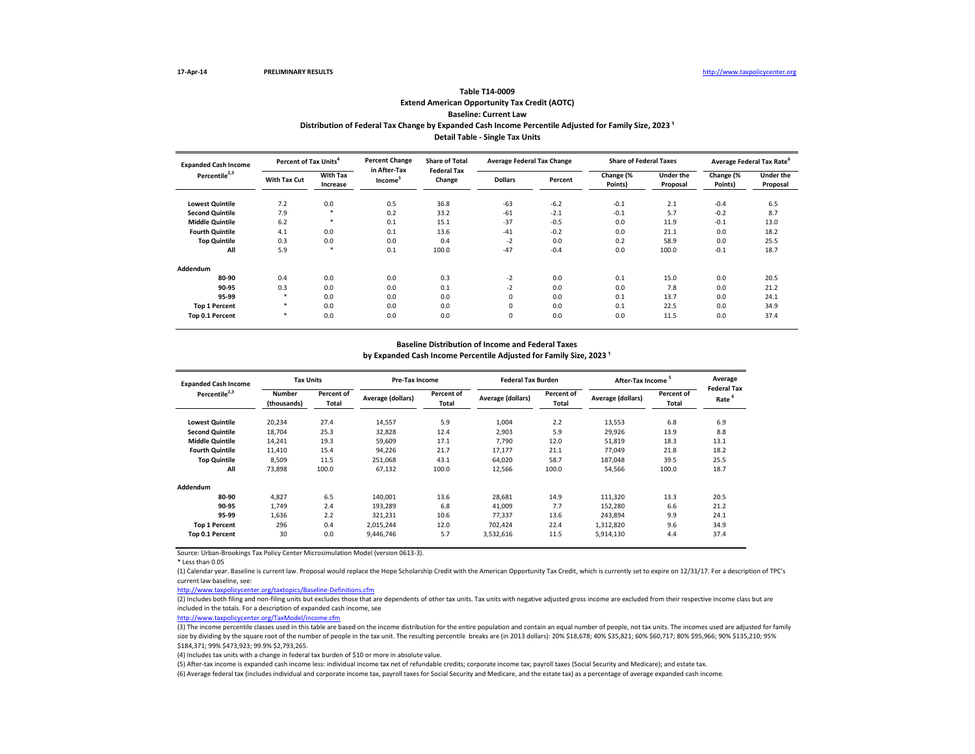# **Extend American Opportunity Tax Credit (AOTC) Baseline: Current Law Table T14-0009** Distribution of Federal Tax Change by Expanded Cash Income Percentile Adjusted for Family Size, 2023<sup>1</sup> **Detail Table - Single Tax Units**

| <b>Expanded Cash Income</b> | Percent of Tax Units <sup>4</sup> |                             | <b>Percent Change</b>               | <b>Share of Total</b><br><b>Federal Tax</b> | <b>Average Federal Tax Change</b> |         | <b>Share of Federal Taxes</b> |                              | Average Federal Tax Rate |                              |
|-----------------------------|-----------------------------------|-----------------------------|-------------------------------------|---------------------------------------------|-----------------------------------|---------|-------------------------------|------------------------------|--------------------------|------------------------------|
| Percentile <sup>2,3</sup>   | With Tax Cut                      | <b>With Tax</b><br>Increase | in After-Tax<br>Income <sup>3</sup> | Change                                      | <b>Dollars</b>                    | Percent | Change (%<br>Points)          | <b>Under the</b><br>Proposal | Change (%<br>Points)     | <b>Under the</b><br>Proposal |
| <b>Lowest Quintile</b>      | 7.2                               | 0.0                         | 0.5                                 | 36.8                                        | $-63$                             | $-6.2$  | $-0.1$                        | 2.1                          | $-0.4$                   | 6.5                          |
| <b>Second Quintile</b>      | 7.9                               | *                           | 0.2                                 | 33.2                                        | $-61$                             | $-2.1$  | $-0.1$                        | 5.7                          | $-0.2$                   | 8.7                          |
| <b>Middle Quintile</b>      | 6.2                               | *                           | 0.1                                 | 15.1                                        | $-37$                             | $-0.5$  | 0.0                           | 11.9                         | $-0.1$                   | 13.0                         |
| <b>Fourth Quintile</b>      | 4.1                               | 0.0                         | 0.1                                 | 13.6                                        | $-41$                             | $-0.2$  | 0.0                           | 21.1                         | 0.0                      | 18.2                         |
| <b>Top Quintile</b>         | 0.3                               | 0.0                         | 0.0                                 | 0.4                                         | $-2$                              | 0.0     | 0.2                           | 58.9                         | 0.0                      | 25.5                         |
| All                         | 5.9                               | $\star$                     | 0.1                                 | 100.0                                       | $-47$                             | $-0.4$  | 0.0                           | 100.0                        | $-0.1$                   | 18.7                         |
| Addendum                    |                                   |                             |                                     |                                             |                                   |         |                               |                              |                          |                              |
| 80-90                       | 0.4                               | 0.0                         | 0.0                                 | 0.3                                         | $-2$                              | 0.0     | 0.1                           | 15.0                         | 0.0                      | 20.5                         |
| 90-95                       | 0.3                               | 0.0                         | 0.0                                 | 0.1                                         | $-2$                              | 0.0     | 0.0                           | 7.8                          | 0.0                      | 21.2                         |
| 95-99                       |                                   | 0.0                         | 0.0                                 | 0.0                                         | 0                                 | 0.0     | 0.1                           | 13.7                         | 0.0                      | 24.1                         |
| <b>Top 1 Percent</b>        |                                   | 0.0                         | 0.0                                 | 0.0                                         | 0                                 | 0.0     | 0.1                           | 22.5                         | 0.0                      | 34.9                         |
| Top 0.1 Percent             |                                   | 0.0                         | 0.0                                 | 0.0                                         | 0                                 | 0.0     | 0.0                           | 11.5                         | 0.0                      | 37.4                         |

### **Baseline Distribution of Income and Federal Taxes**

by Expanded Cash Income Percentile Adjusted for Family Size, 2023<sup>1</sup>

| <b>Expanded Cash Income</b> | <b>Tax Units</b>             |                     | Pre-Tax Income    |                     | <b>Federal Tax Burden</b> |                     | <b>After-Tax Income</b> |                     | Average                                 |
|-----------------------------|------------------------------|---------------------|-------------------|---------------------|---------------------------|---------------------|-------------------------|---------------------|-----------------------------------------|
| Percentile <sup>2,3</sup>   | <b>Number</b><br>(thousands) | Percent of<br>Total | Average (dollars) | Percent of<br>Total | Average (dollars)         | Percent of<br>Total | Average (dollars)       | Percent of<br>Total | <b>Federal Tax</b><br>Rate <sup>6</sup> |
| <b>Lowest Quintile</b>      | 20,234                       | 27.4                | 14,557            | 5.9                 | 1,004                     | 2.2                 | 13,553                  | 6.8                 | 6.9                                     |
| <b>Second Quintile</b>      | 18,704                       | 25.3                | 32,828            | 12.4                | 2,903                     | 5.9                 | 29,926                  | 13.9                | 8.8                                     |
| <b>Middle Quintile</b>      | 14,241                       | 19.3                | 59,609            | 17.1                | 7.790                     | 12.0                | 51,819                  | 18.3                | 13.1                                    |
| <b>Fourth Quintile</b>      | 11,410                       | 15.4                | 94,226            | 21.7                | 17,177                    | 21.1                | 77.049                  | 21.8                | 18.2                                    |
| <b>Top Quintile</b>         | 8,509                        | 11.5                | 251.068           | 43.1                | 64.020                    | 58.7                | 187.048                 | 39.5                | 25.5                                    |
| All                         | 73,898                       | 100.0               | 67,132            | 100.0               | 12,566                    | 100.0               | 54,566                  | 100.0               | 18.7                                    |
| Addendum                    |                              |                     |                   |                     |                           |                     |                         |                     |                                         |
| 80-90                       | 4.827                        | 6.5                 | 140,001           | 13.6                | 28,681                    | 14.9                | 111,320                 | 13.3                | 20.5                                    |
| 90-95                       | 1.749                        | 2.4                 | 193,289           | 6.8                 | 41.009                    | 7.7                 | 152,280                 | 6.6                 | 21.2                                    |
| 95-99                       | 1.636                        | 2.2                 | 321,231           | 10.6                | 77.337                    | 13.6                | 243.894                 | 9.9                 | 24.1                                    |
| <b>Top 1 Percent</b>        | 296                          | 0.4                 | 2,015,244         | 12.0                | 702.424                   | 22.4                | 1,312,820               | 9.6                 | 34.9                                    |
| Top 0.1 Percent             | 30                           | 0.0                 | 9,446,746         | 5.7                 | 3,532,616                 | 11.5                | 5,914,130               | 4.4                 | 37.4                                    |

Source: Urban-Brookings Tax Policy Center Microsimulation Model (version 0613-3).

\* Less than 0.05

(1) Calendar year. Baseline is current law. Proposal would replace the Hope Scholarship Credit with the American Opportunity Tax Credit, which is currently set to expire on 12/31/17. For a description of TPC's current law baseline, see:

<http://www.taxpolicycenter.org/taxtopics/Baseline-Definitions.cfm>

(2) Includes both filing and non-filing units but excludes those that are dependents of other tax units. Tax units with negative adjusted gross income are excluded from their respective income class but are included in the totals. For a description of expanded cash income, see

[http://www.taxpolicycente](http://www.taxpolicycenter.org/TaxModel/income.cfm)r.org/TaxModel/income.cfm

(3) The income percentile classes used in this table are based on the income distribution for the entire population and contain an equal number of people, not tax units. The incomes used are adjusted for family size by dividing by the square root of the number of people in the tax unit. The resulting percentile breaks are (in 2013 dollars): 20% \$18,678; 40% \$35,821; 60% \$60,717; 80% \$95,966; 90% \$135,210; 95% \$184,371; 99% \$473,923; 99.9% \$2,793,265.

(4) Includes tax units with a change in federal tax burden of \$10 or more in absolute value.

(5) After-tax income is expanded cash income less: individual income tax net of refundable credits; corporate income tax; payroll taxes (Social Security and Medicare); and estate tax. (6) Average federal tax (includes individual and corporate income tax, payroll taxes for Social Security and Medicare, and the estate tax) as a percentage of average expanded cash income.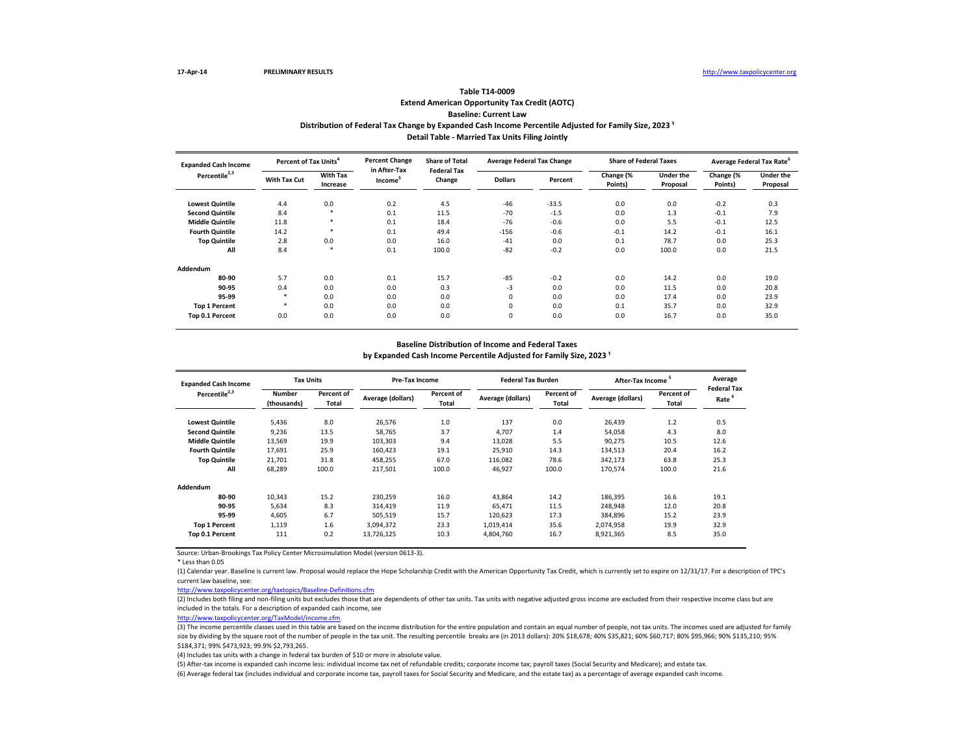# **Extend American Opportunity Tax Credit (AOTC) Baseline: Current Law Table T14-0009** Distribution of Federal Tax Change by Expanded Cash Income Percentile Adjusted for Family Size, 2023<sup>1</sup> **Detail Table - Married Tax Units Filing Jointly**

| <b>Expanded Cash Income</b> | Percent of Tax Units <sup>4</sup> |                             | <b>Percent Change</b>               | <b>Share of Total</b><br><b>Federal Tax</b> | <b>Average Federal Tax Change</b> |         | <b>Share of Federal Taxes</b> |                              | Average Federal Tax Rate <sup>6</sup> |                              |
|-----------------------------|-----------------------------------|-----------------------------|-------------------------------------|---------------------------------------------|-----------------------------------|---------|-------------------------------|------------------------------|---------------------------------------|------------------------------|
| Percentile <sup>2,3</sup>   | With Tax Cut                      | <b>With Tax</b><br>Increase | in After-Tax<br>Income <sup>5</sup> | Change                                      | <b>Dollars</b>                    | Percent | Change (%<br>Points)          | <b>Under the</b><br>Proposal | Change (%<br>Points)                  | <b>Under the</b><br>Proposal |
| <b>Lowest Quintile</b>      | 4.4                               | 0.0                         | 0.2                                 | 4.5                                         | $-46$                             | $-33.5$ | 0.0                           | 0.0                          | $-0.2$                                | 0.3                          |
| <b>Second Quintile</b>      | 8.4                               | $\star$                     | 0.1                                 | 11.5                                        | $-70$                             | $-1.5$  | 0.0                           | 1.3                          | $-0.1$                                | 7.9                          |
| <b>Middle Quintile</b>      | 11.8                              | *                           | 0.1                                 | 18.4                                        | $-76$                             | $-0.6$  | 0.0                           | 5.5                          | $-0.1$                                | 12.5                         |
| <b>Fourth Quintile</b>      | 14.2                              | *                           | 0.1                                 | 49.4                                        | $-156$                            | $-0.6$  | $-0.1$                        | 14.2                         | $-0.1$                                | 16.1                         |
| <b>Top Quintile</b>         | 2.8                               | 0.0                         | 0.0                                 | 16.0                                        | $-41$                             | 0.0     | 0.1                           | 78.7                         | 0.0                                   | 25.3                         |
| All                         | 8.4                               | $\star$                     | 0.1                                 | 100.0                                       | $-82$                             | $-0.2$  | 0.0                           | 100.0                        | 0.0                                   | 21.5                         |
| Addendum                    |                                   |                             |                                     |                                             |                                   |         |                               |                              |                                       |                              |
| 80-90                       | 5.7                               | 0.0                         | 0.1                                 | 15.7                                        | $-85$                             | $-0.2$  | 0.0                           | 14.2                         | 0.0                                   | 19.0                         |
| 90-95                       | 0.4                               | 0.0                         | 0.0                                 | 0.3                                         | $-3$                              | 0.0     | 0.0                           | 11.5                         | 0.0                                   | 20.8                         |
| 95-99                       |                                   | 0.0                         | 0.0                                 | 0.0                                         | 0                                 | 0.0     | 0.0                           | 17.4                         | 0.0                                   | 23.9                         |
| <b>Top 1 Percent</b>        |                                   | 0.0                         | 0.0                                 | 0.0                                         | 0                                 | 0.0     | 0.1                           | 35.7                         | 0.0                                   | 32.9                         |
| Top 0.1 Percent             | 0.0                               | 0.0                         | 0.0                                 | 0.0                                         | $\mathbf 0$                       | 0.0     | 0.0                           | 16.7                         | 0.0                                   | 35.0                         |

### **Baseline Distribution of Income and Federal Taxes**

by Expanded Cash Income Percentile Adjusted for Family Size, 2023<sup>1</sup>

| <b>Expanded Cash Income</b> | <b>Tax Units</b>             |                     | Pre-Tax Income    |                     | <b>Federal Tax Burden</b> |                     | <b>After-Tax Income</b> |                     | Average                                 |
|-----------------------------|------------------------------|---------------------|-------------------|---------------------|---------------------------|---------------------|-------------------------|---------------------|-----------------------------------------|
| Percentile <sup>2,3</sup>   | <b>Number</b><br>(thousands) | Percent of<br>Total | Average (dollars) | Percent of<br>Total | Average (dollars)         | Percent of<br>Total | Average (dollars)       | Percent of<br>Total | <b>Federal Tax</b><br>Rate <sup>6</sup> |
| <b>Lowest Quintile</b>      | 5,436                        | 8.0                 | 26,576            | 1.0                 | 137                       | 0.0                 | 26,439                  | 1.2                 | 0.5                                     |
| <b>Second Quintile</b>      | 9,236                        | 13.5                | 58,765            | 3.7                 | 4,707                     | 1.4                 | 54,058                  | 4.3                 | 8.0                                     |
| <b>Middle Quintile</b>      | 13,569                       | 19.9                | 103,303           | 9.4                 | 13,028                    | 5.5                 | 90,275                  | 10.5                | 12.6                                    |
| <b>Fourth Quintile</b>      | 17,691                       | 25.9                | 160.423           | 19.1                | 25,910                    | 14.3                | 134,513                 | 20.4                | 16.2                                    |
| <b>Top Quintile</b>         | 21,701                       | 31.8                | 458.255           | 67.0                | 116.082                   | 78.6                | 342,173                 | 63.8                | 25.3                                    |
| All                         | 68,289                       | 100.0               | 217,501           | 100.0               | 46,927                    | 100.0               | 170,574                 | 100.0               | 21.6                                    |
| Addendum                    |                              |                     |                   |                     |                           |                     |                         |                     |                                         |
| 80-90                       | 10,343                       | 15.2                | 230,259           | 16.0                | 43.864                    | 14.2                | 186,395                 | 16.6                | 19.1                                    |
| 90-95                       | 5,634                        | 8.3                 | 314,419           | 11.9                | 65.471                    | 11.5                | 248,948                 | 12.0                | 20.8                                    |
| 95-99                       | 4.605                        | 6.7                 | 505,519           | 15.7                | 120.623                   | 17.3                | 384.896                 | 15.2                | 23.9                                    |
| <b>Top 1 Percent</b>        | 1,119                        | 1.6                 | 3,094,372         | 23.3                | 1,019,414                 | 35.6                | 2,074,958               | 19.9                | 32.9                                    |
| Top 0.1 Percent             | 111                          | 0.2                 | 13,726,125        | 10.3                | 4,804,760                 | 16.7                | 8,921,365               | 8.5                 | 35.0                                    |

Source: Urban-Brookings Tax Policy Center Microsimulation Model (version 0613-3).

\* Less than 0.05

(1) Calendar year. Baseline is current law. Proposal would replace the Hope Scholarship Credit with the American Opportunity Tax Credit, which is currently set to expire on 12/31/17. For a description of TPC's current law baseline, see:

<http://www.taxpolicycenter.org/taxtopics/Baseline-Definitions.cfm>

(2) Includes both filing and non-filing units but excludes those that are dependents of other tax units. Tax units with negative adjusted gross income are excluded from their respective income class but are included in the totals. For a description of expanded cash income, see

[http://www.taxpolicycente](http://www.taxpolicycenter.org/TaxModel/income.cfm)r.org/TaxModel/income.cfm

(3) The income percentile classes used in this table are based on the income distribution for the entire population and contain an equal number of people, not tax units. The incomes used are adjusted for family size by dividing by the square root of the number of people in the tax unit. The resulting percentile breaks are (in 2013 dollars): 20% \$18,678; 40% \$35,821; 60% \$60,717; 80% \$95,966; 90% \$135,210; 95% \$184,371; 99% \$473,923; 99.9% \$2,793,265.

(4) Includes tax units with a change in federal tax burden of \$10 or more in absolute value.

(5) After-tax income is expanded cash income less: individual income tax net of refundable credits; corporate income tax; payroll taxes (Social Security and Medicare); and estate tax. (6) Average federal tax (includes individual and corporate income tax, payroll taxes for Social Security and Medicare, and the estate tax) as a percentage of average expanded cash income.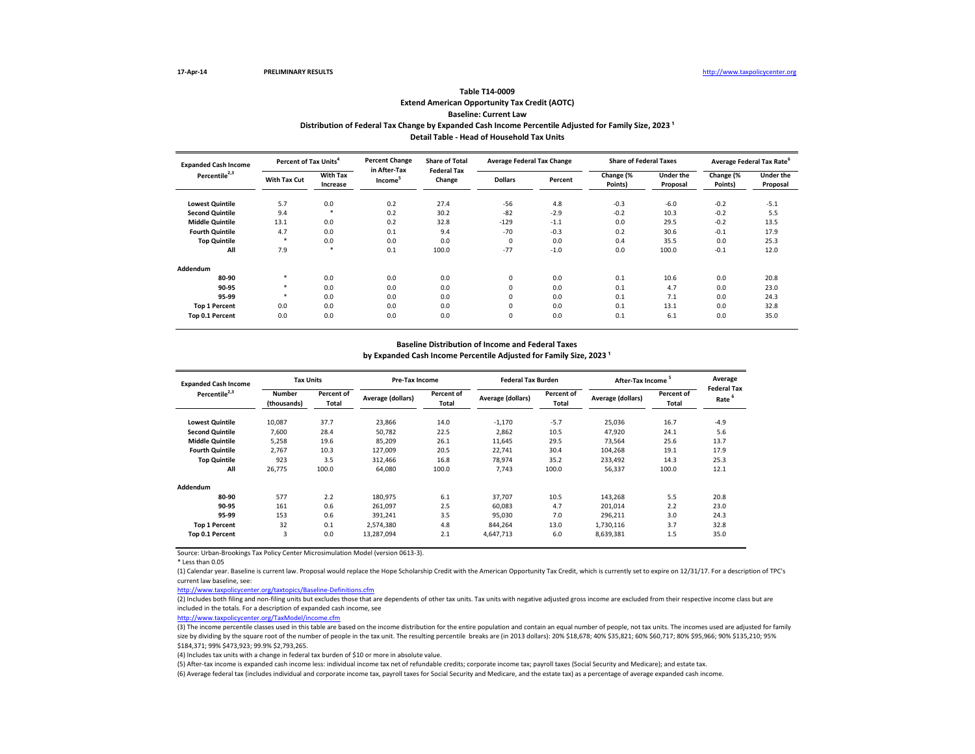# **Extend American Opportunity Tax Credit (AOTC) Baseline: Current Law Table T14-0009** Distribution of Federal Tax Change by Expanded Cash Income Percentile Adjusted for Family Size, 2023<sup>1</sup> **Detail Table - Head of Household Tax Units**

| <b>Expanded Cash Income</b> | Percent of Tax Units <sup>4</sup> |                             | <b>Percent Change</b>               | <b>Share of Total</b><br><b>Federal Tax</b> | <b>Average Federal Tax Change</b> |         | <b>Share of Federal Taxes</b> |                              | Average Federal Tax Rate <sup>6</sup> |                              |
|-----------------------------|-----------------------------------|-----------------------------|-------------------------------------|---------------------------------------------|-----------------------------------|---------|-------------------------------|------------------------------|---------------------------------------|------------------------------|
| Percentile <sup>2,3</sup>   | With Tax Cut                      | <b>With Tax</b><br>Increase | in After-Tax<br>Income <sup>5</sup> | Change                                      | <b>Dollars</b>                    | Percent | Change (%<br>Points)          | <b>Under the</b><br>Proposal | Change (%<br>Points)                  | <b>Under the</b><br>Proposal |
| <b>Lowest Quintile</b>      | 5.7                               | 0.0                         | 0.2                                 | 27.4                                        | $-56$                             | 4.8     | $-0.3$                        | $-6.0$                       | $-0.2$                                | $-5.1$                       |
| <b>Second Quintile</b>      | 9.4                               | $\star$                     | 0.2                                 | 30.2                                        | $-82$                             | $-2.9$  | $-0.2$                        | 10.3                         | $-0.2$                                | 5.5                          |
| <b>Middle Quintile</b>      | 13.1                              | 0.0                         | 0.2                                 | 32.8                                        | $-129$                            | $-1.1$  | 0.0                           | 29.5                         | $-0.2$                                | 13.5                         |
| <b>Fourth Quintile</b>      | 4.7                               | 0.0                         | 0.1                                 | 9.4                                         | $-70$                             | $-0.3$  | 0.2                           | 30.6                         | $-0.1$                                | 17.9                         |
| <b>Top Quintile</b>         |                                   | 0.0                         | 0.0                                 | 0.0                                         | $\mathbf 0$                       | 0.0     | 0.4                           | 35.5                         | 0.0                                   | 25.3                         |
| All                         | 7.9                               | $\star$                     | 0.1                                 | 100.0                                       | $-77$                             | $-1.0$  | 0.0                           | 100.0                        | $-0.1$                                | 12.0                         |
| Addendum                    |                                   |                             |                                     |                                             |                                   |         |                               |                              |                                       |                              |
| 80-90                       | *                                 | 0.0                         | 0.0                                 | 0.0                                         | 0                                 | 0.0     | 0.1                           | 10.6                         | 0.0                                   | 20.8                         |
| 90-95                       |                                   | 0.0                         | 0.0                                 | 0.0                                         | 0                                 | 0.0     | 0.1                           | 4.7                          | 0.0                                   | 23.0                         |
| 95-99                       |                                   | 0.0                         | 0.0                                 | 0.0                                         | 0                                 | 0.0     | 0.1                           | 7.1                          | 0.0                                   | 24.3                         |
| <b>Top 1 Percent</b>        | 0.0                               | 0.0                         | 0.0                                 | 0.0                                         | 0                                 | 0.0     | 0.1                           | 13.1                         | 0.0                                   | 32.8                         |
| Top 0.1 Percent             | 0.0                               | 0.0                         | 0.0                                 | 0.0                                         | $\mathbf 0$                       | 0.0     | 0.1                           | 6.1                          | 0.0                                   | 35.0                         |

### **Baseline Distribution of Income and Federal Taxes**

by Expanded Cash Income Percentile Adjusted for Family Size, 2023<sup>1</sup>

| <b>Expanded Cash Income</b> | <b>Tax Units</b>             |                     | Pre-Tax Income    |                     | <b>Federal Tax Burden</b> |                     | <b>After-Tax Income</b> |                     | Average                                 |
|-----------------------------|------------------------------|---------------------|-------------------|---------------------|---------------------------|---------------------|-------------------------|---------------------|-----------------------------------------|
| Percentile <sup>2,3</sup>   | <b>Number</b><br>(thousands) | Percent of<br>Total | Average (dollars) | Percent of<br>Total | Average (dollars)         | Percent of<br>Total | Average (dollars)       | Percent of<br>Total | <b>Federal Tax</b><br>Rate <sup>6</sup> |
| <b>Lowest Quintile</b>      | 10,087                       | 37.7                | 23,866            | 14.0                | $-1,170$                  | $-5.7$              | 25,036                  | 16.7                | $-4.9$                                  |
| <b>Second Quintile</b>      | 7,600                        | 28.4                | 50,782            | 22.5                | 2,862                     | 10.5                | 47,920                  | 24.1                | 5.6                                     |
| <b>Middle Quintile</b>      | 5,258                        | 19.6                | 85,209            | 26.1                | 11,645                    | 29.5                | 73,564                  | 25.6                | 13.7                                    |
| <b>Fourth Quintile</b>      | 2,767                        | 10.3                | 127,009           | 20.5                | 22,741                    | 30.4                | 104,268                 | 19.1                | 17.9                                    |
| <b>Top Quintile</b>         | 923                          | 3.5                 | 312,466           | 16.8                | 78,974                    | 35.2                | 233,492                 | 14.3                | 25.3                                    |
| All                         | 26,775                       | 100.0               | 64,080            | 100.0               | 7,743                     | 100.0               | 56,337                  | 100.0               | 12.1                                    |
| Addendum                    |                              |                     |                   |                     |                           |                     |                         |                     |                                         |
| 80-90                       | 577                          | 2.2                 | 180,975           | 6.1                 | 37.707                    | 10.5                | 143,268                 | 5.5                 | 20.8                                    |
| 90-95                       | 161                          | 0.6                 | 261,097           | 2.5                 | 60,083                    | 4.7                 | 201,014                 | 2.2                 | 23.0                                    |
| 95-99                       | 153                          | 0.6                 | 391,241           | 3.5                 | 95,030                    | 7.0                 | 296,211                 | 3.0                 | 24.3                                    |
| <b>Top 1 Percent</b>        | 32                           | 0.1                 | 2,574,380         | 4.8                 | 844.264                   | 13.0                | 1,730,116               | 3.7                 | 32.8                                    |
| Top 0.1 Percent             | 3                            | 0.0                 | 13,287,094        | 2.1                 | 4,647,713                 | 6.0                 | 8,639,381               | 1.5                 | 35.0                                    |

Source: Urban-Brookings Tax Policy Center Microsimulation Model (version 0613-3).

\* Less than 0.05

(1) Calendar year. Baseline is current law. Proposal would replace the Hope Scholarship Credit with the American Opportunity Tax Credit, which is currently set to expire on 12/31/17. For a description of TPC's current law baseline, see:

<http://www.taxpolicycenter.org/taxtopics/Baseline-Definitions.cfm>

(2) Includes both filing and non-filing units but excludes those that are dependents of other tax units. Tax units with negative adjusted gross income are excluded from their respective income class but are included in the totals. For a description of expanded cash income, see

[http://www.taxpolicycente](http://www.taxpolicycenter.org/TaxModel/income.cfm)r.org/TaxModel/income.cfm

(3) The income percentile classes used in this table are based on the income distribution for the entire population and contain an equal number of people, not tax units. The incomes used are adjusted for family size by dividing by the square root of the number of people in the tax unit. The resulting percentile breaks are (in 2013 dollars): 20% \$18,678; 40% \$35,821; 60% \$60,717; 80% \$95,966; 90% \$135,210; 95% \$184,371; 99% \$473,923; 99.9% \$2,793,265.

(4) Includes tax units with a change in federal tax burden of \$10 or more in absolute value.

(5) After-tax income is expanded cash income less: individual income tax net of refundable credits; corporate income tax; payroll taxes (Social Security and Medicare); and estate tax. (6) Average federal tax (includes individual and corporate income tax, payroll taxes for Social Security and Medicare, and the estate tax) as a percentage of average expanded cash income.